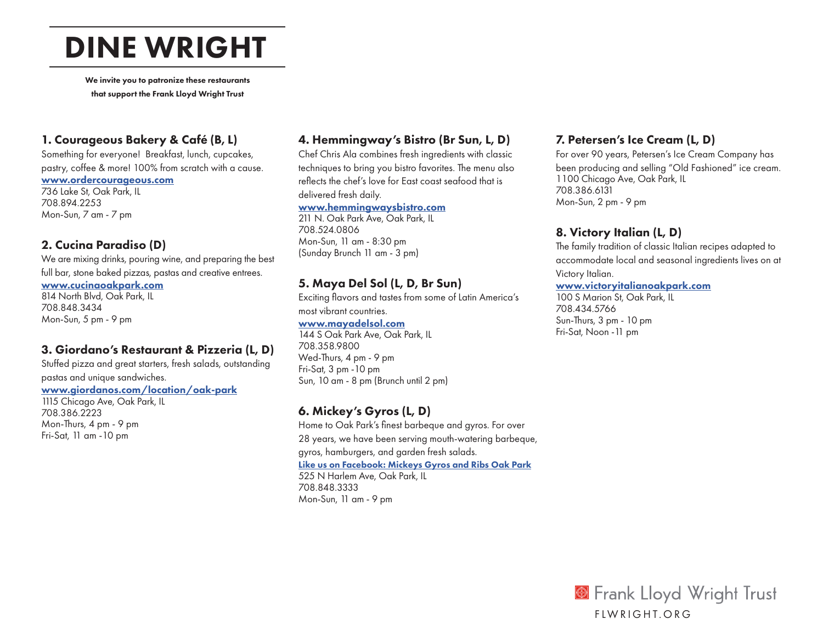# DINE WRIGHT

We invite you to patronize these restaurants that support the Frank Lloyd Wright Trust

## 1. Courageous Bakery & Café (B, L)

Something for everyone! Breakfast, lunch, cupcakes, pastry, coffee & more! 100% from scratch with a cause.

#### [www.ordercourageous.com](http://www.ordercourageous.com)

736 Lake St, Oak Park, IL 708.894.2253 Mon-Sun, 7 am - 7 pm

### 2. Cucina Paradiso (D)

We are mixing drinks, pouring wine, and preparing the best full bar, stone baked pizzas, pastas and creative entrees.

#### [www.cucinaoakpark.com](http://www.cucinaoakpark.com)

814 North Blvd, Oak Park, IL 708.848.3434 Mon-Sun, 5 pm - 9 pm

## 3. Giordano's Restaurant & Pizzeria (L, D)

Stuffed pizza and great starters, fresh salads, outstanding pastas and unique sandwiches.

#### [www.giordanos.com/location/oak-park](http://www.giordanos.com/location/oak-park)

1115 Chicago Ave, Oak Park, IL 708.386.2223 Mon-Thurs, 4 pm - 9 pm Fri-Sat, 11 am -10 pm

## 4. Hemmingway's Bistro (Br Sun, L, D)

Chef Chris Ala combines fresh ingredients with classic techniques to bring you bistro favorites. The menu also reflects the chef's love for East coast seafood that is delivered fresh daily.

#### [www.hemmingwaysbistro.com](http://www.hemmingwaysbistro.com)

211 N. Oak Park Ave, Oak Park, IL 708.524.0806 Mon-Sun, 11 am - 8:30 pm (Sunday Brunch 11 am - 3 pm)

## 5. Maya Del Sol (L, D, Br Sun)

Exciting flavors and tastes from some of Latin America's most vibrant countries. [www.mayadelsol.com](http://www.mayadelsol.com)

144 S Oak Park Ave, Oak Park, IL 708.358.9800 Wed-Thurs, 4 pm - 9 pm Fri-Sat, 3 pm -10 pm Sun, 10 am - 8 pm (Brunch until 2 pm)

## 6. Mickey's Gyros (L, D)

Home to Oak Park's finest barbeque and gyros. For over 28 years, we have been serving mouth-watering barbeque, gyros, hamburgers, and garden fresh salads. [Like us on Facebook: Mickeys Gyros and Ribs Oak Park](https://www.facebook.com/mickeysgyros/) 525 N Harlem Ave, Oak Park, IL 708.848.3333 Mon-Sun, 11 am - 9 pm

## 7. Petersen's Ice Cream (L, D)

For over 90 years, Petersen's Ice Cream Company has been producing and selling "Old Fashioned" ice cream. 1100 Chicago Ave, Oak Park, IL 708.386.6131 Mon-Sun, 2 pm - 9 pm

## 8. Victory Italian (L, D)

The family tradition of classic Italian recipes adapted to accommodate local and seasonal ingredients lives on at Victory Italian.

#### [www.victoryitalianoakpark.com](http://www.victoryitalianoakpark.com)

100 S Marion St, Oak Park, IL 708.434.5766 Sun-Thurs, 3 pm - 10 pm Fri-Sat, Noon -11 pm